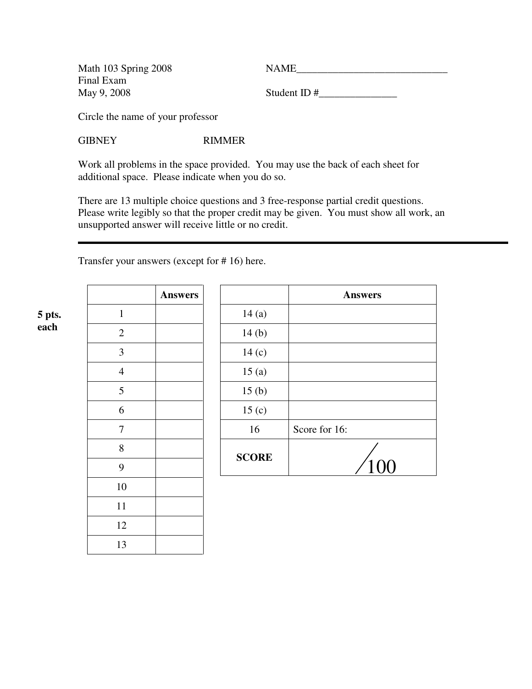Math 103 Spring 2008 NAME Final Exam

1

2

3

4

5

6

7

8

9

10

11

12

13

Student ID  $\#$ 

Circle the name of your professor

GIBNEY RIMMER

Work all problems in the space provided. You may use the back of each sheet for additional space. Please indicate when you do so.

There are 13 multiple choice questions and 3 free-response partial credit questions. Please write legibly so that the proper credit may be given. You must show all work, an unsupported answer will receive little or no credit.

Transfer your answers (except for # 16) here.

|      | 5 pts. |
|------|--------|
| each |        |

| <b>Answers</b> |                   | <b>Answers</b> |
|----------------|-------------------|----------------|
|                | 14(a)             |                |
|                | 14(b)             |                |
|                | 14 <sub>(c)</sub> |                |
|                | 15(a)             |                |
|                | 15(b)             |                |
|                | 15 <sub>(c)</sub> |                |
|                | 16                | Score for 16:  |
|                | <b>SCORE</b>      | 100            |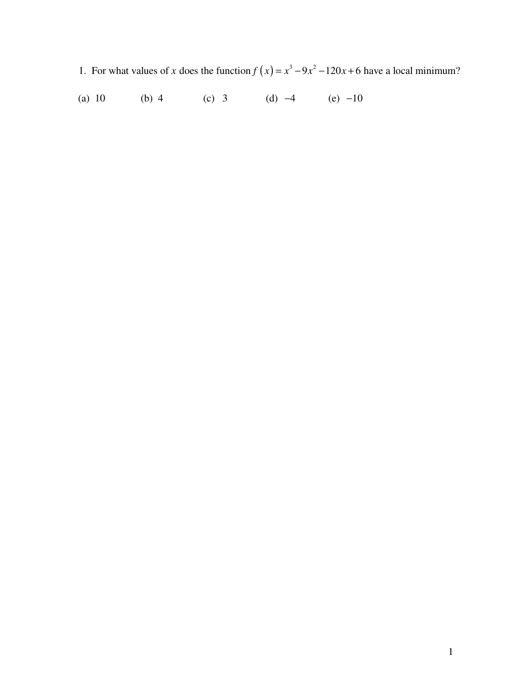- 1. For what values of x does the function  $f(x) = x^3 9x^2 120x + 6$  have a local minimum?
- (c) 3 (d)  $-4$  (e)  $-10$ (a)  $10$ (b)  $4$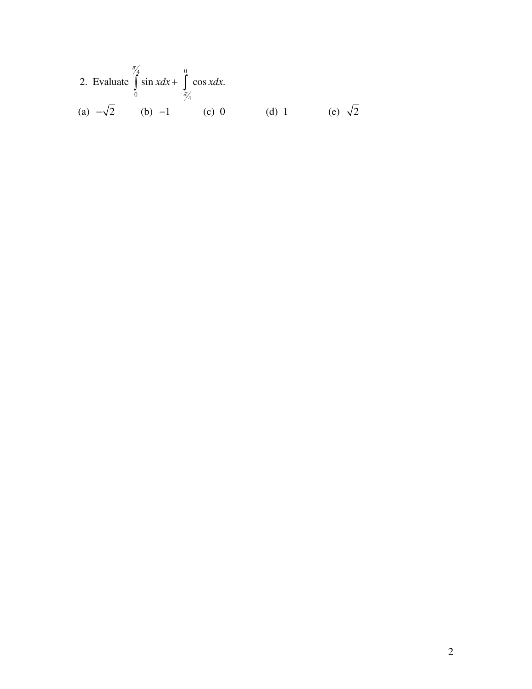2. Evaluate 
$$
\int_{0}^{\frac{\pi}{4}} \sin x dx + \int_{-\frac{\pi}{4}}^{0} \cos x dx
$$
.  
\n(a)  $-\sqrt{2}$  (b)  $-1$  (c) 0 (d) 1 (e)  $\sqrt{2}$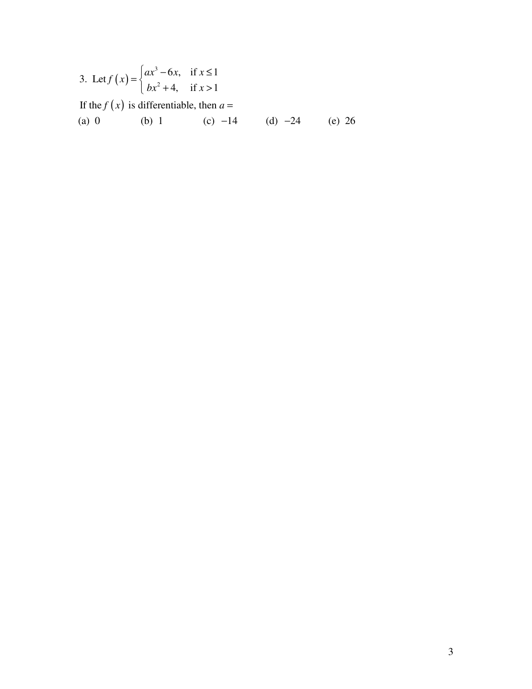3. Let 
$$
f(x) = \begin{cases} ax^3 - 6x, & \text{if } x \le 1 \\ bx^2 + 4, & \text{if } x > 1 \end{cases}
$$

If the  $f(x)$  is differentiable, then  $a =$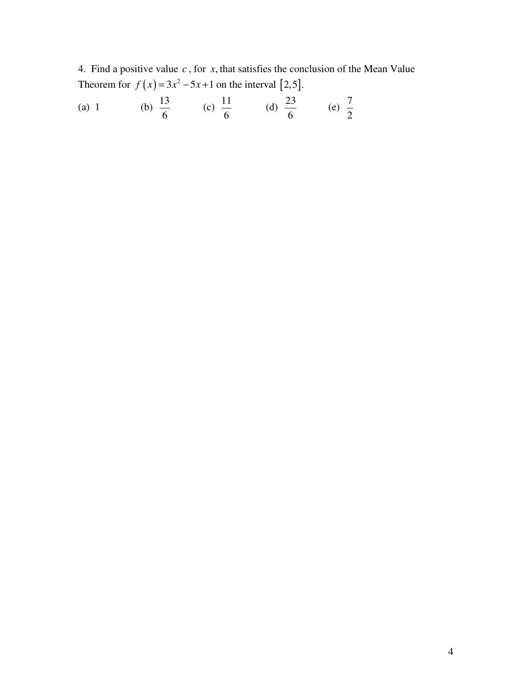4. Find a positive value *c* , for *x*, that satisfies the conclusion of the Mean Value Theorem for  $f(x) = 3x^2 - 5x + 1$  on the interval [2,5].

(a) 1 (b) 
$$
\frac{13}{6}
$$
 (c)  $\frac{11}{6}$  (d)  $\frac{23}{6}$  (e)  $\frac{7}{2}$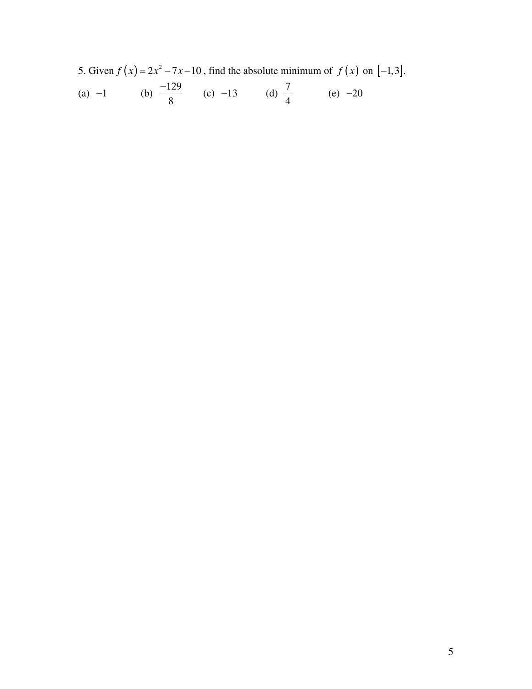5. Given  $f(x) = 2x^2 - 7x - 10$ , find the absolute minimum of  $f(x)$  on  $[-1,3]$ . (a)  $-1$  (b)  $\frac{-129}{0}$ 8  $\frac{-129}{2}$  (c) -13 (d)  $\frac{7}{4}$ 4  $(e) -20$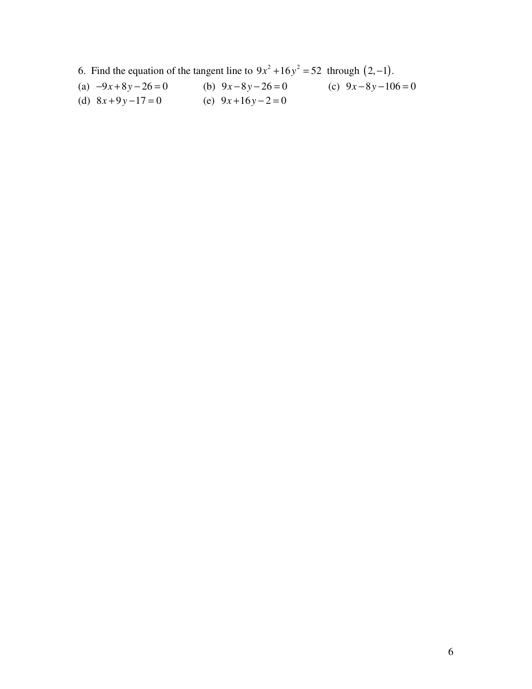6. Find the equation of the tangent line to  $9x^2 + 16y^2 = 52$  through  $(2, -1)$ .

- (a)  $-9x+8y-26=0$  <br> (b)  $9x-8y-26=0$  <br> (c)  $9x-8y-106=0$ (d)  $8x+9y-17=0$  (e)  $9x+16y-2=0$
-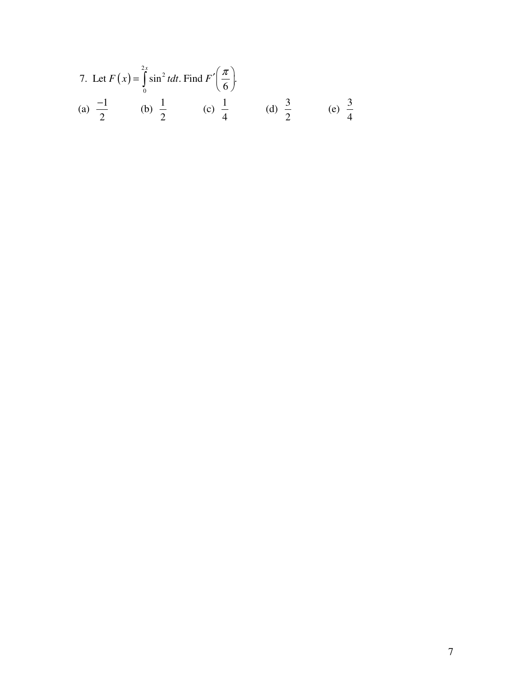7. Let 
$$
F(x) = \int_{0}^{2x} \sin^2 t dt
$$
. Find  $F'\left(\frac{\pi}{6}\right)$ .  
\n(a)  $\frac{-1}{2}$  (b)  $\frac{1}{2}$  (c)  $\frac{1}{4}$  (d)  $\frac{3}{2}$  (e)  $\frac{3}{4}$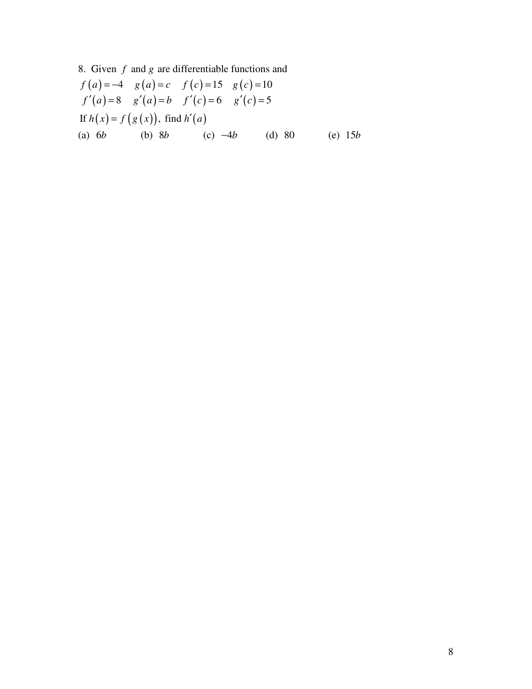8. Given  $f$  and  $g$  are differentiable functions and

$$
f(a) = -4 \quad g(a) = c \quad f(c) = 15 \quad g(c) = 10
$$
  
\n
$$
f'(a) = 8 \quad g'(a) = b \quad f'(c) = 6 \quad g'(c) = 5
$$
  
\nIf  $h(x) = f(g(x))$ , find  $h'(a)$   
\n(a) 6b \t(b) 8b \t(c) -4b \t(d) 80 \t(e) 15b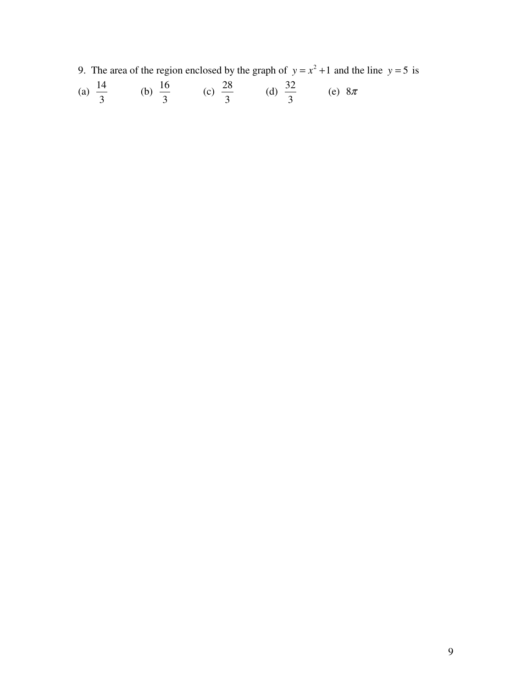9. The area of the region enclosed by the graph of  $y = x^2 + 1$  and the line  $y = 5$  is

(a) 
$$
\frac{14}{3}
$$
 (b)  $\frac{16}{3}$  (c)  $\frac{28}{3}$  (d)  $\frac{32}{3}$  (e)  $8\pi$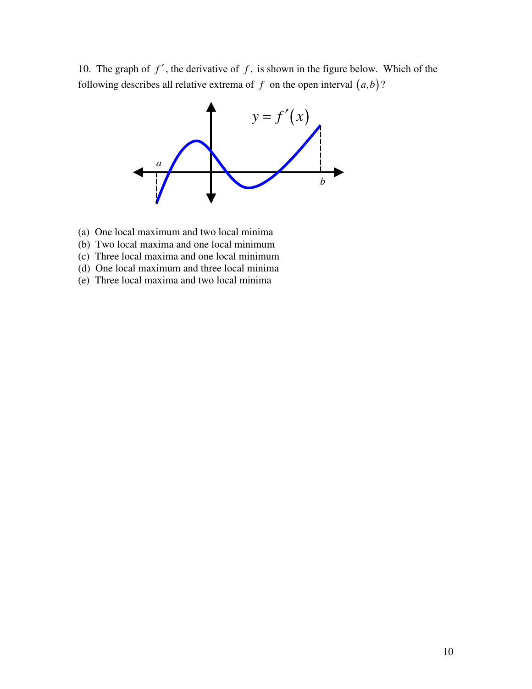10. The graph of  $f'$ , the derivative of  $f$ , is shown in the figure below. Which of the following describes all relative extrema of  $f$  on the open interval  $(a,b)$ ?



- (a) One local maximum and two local minima
- (b) Two local maxima and one local minimum
- (c) Three local maxima and one local minimum
- (d) One local maximum and three local minima
- (e) Three local maxima and two local minima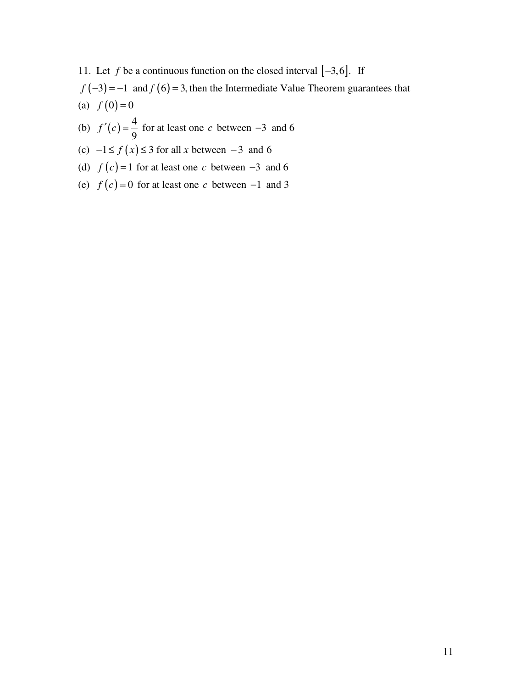11. Let *f* be a continuous function on the closed interval  $[-3, 6]$ . If  $f(-3) = -1$  and  $f(6) = 3$ , then the Intermediate Value Theorem guarantees that (a)  $f(0) = 0$ 

- (b)  $f'(c) = \frac{4}{2}$ 9  $f'(c) = \frac{4}{5}$  for at least one *c* between −3 and 6
- (c)  $-1 \le f(x) \le 3$  for all x between -3 and 6
- (d)  $f(c) = 1$  for at least one *c* between  $-3$  and 6
- (e)  $f(c) = 0$  for at least one *c* between −1 and 3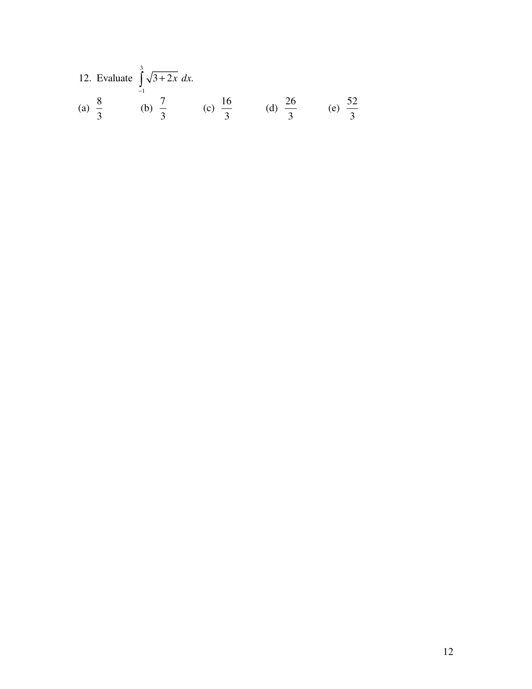12. Evaluate 
$$
\int_{-1}^{3} \sqrt{3+2x} \, dx
$$
.  
\n(a)  $\frac{8}{3}$  (b)  $\frac{7}{3}$  (c)  $\frac{16}{3}$  (d)  $\frac{26}{3}$  (e)  $\frac{52}{3}$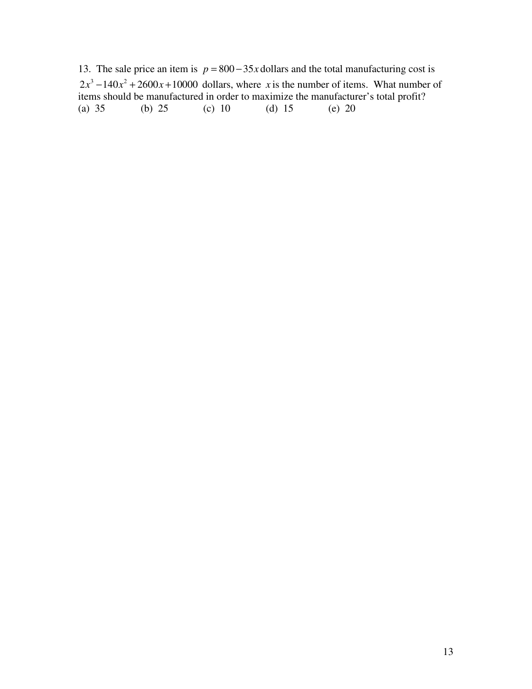13. The sale price an item is  $p = 800 - 35x$  dollars and the total manufacturing cost is  $2x^3 - 140x^2 + 2600x + 10000$  dollars, where *x* is the number of items. What number of items should be manufactured in order to maximize the manufacturer's total profit?<br>(a) 35 (b) 25 (c) 10 (d) 15 (e) 20 (b) 25 (c) 10 (d) 15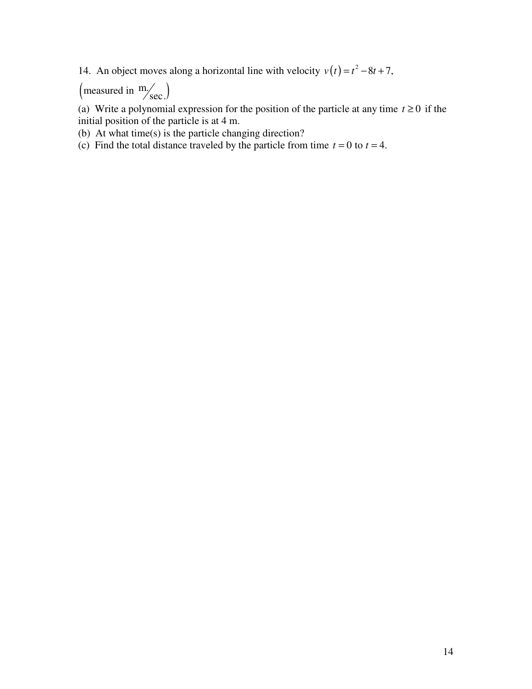14. An object moves along a horizontal line with velocity  $v(t) = t^2 - 8t + 7$ ,

(measured in  $\frac{m}{\text{sec}}$ )

(a) Write a polynomial expression for the position of the particle at any time  $t \ge 0$  if the initial position of the particle is at 4 m.

(b) At what time(s) is the particle changing direction?

(c) Find the total distance traveled by the particle from time  $t = 0$  to  $t = 4$ .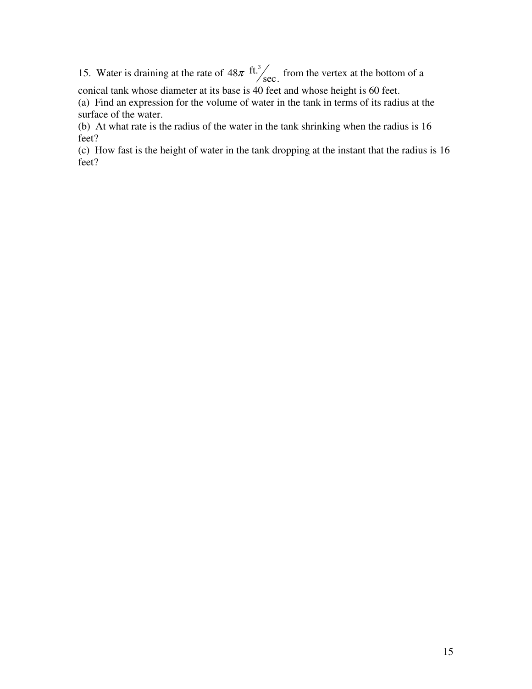15. Water is draining at the rate of  $48\pi$  ft.<sup>3</sup>/sec. from the vertex at the bottom of a

conical tank whose diameter at its base is 40 feet and whose height is 60 feet. (a) Find an expression for the volume of water in the tank in terms of its radius at the surface of the water.

(b) At what rate is the radius of the water in the tank shrinking when the radius is 16 feet?

(c) How fast is the height of water in the tank dropping at the instant that the radius is 16 feet?